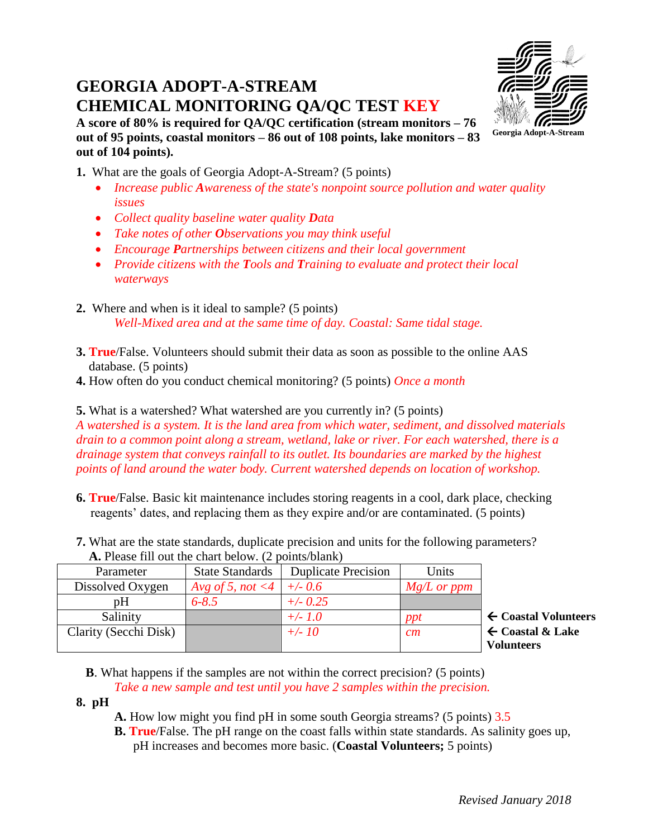# **GEORGIA ADOPT-A-STREAM CHEMICAL MONITORING QA/QC TEST KEY**



**A score of 80% is required for QA/QC certification (stream monitors – 76 out of 95 points, coastal monitors – 86 out of 108 points, lake monitors – 83 out of 104 points).** 

**1.** What are the goals of Georgia Adopt-A-Stream? (5 points)

- Increase public Awareness of the state's nonpoint source pollution and water quality *issues*
- *Collect quality baseline water quality Data*
- *Take notes of other Observations you may think useful*
- *Encourage Partnerships between citizens and their local government*
- *Provide citizens with the Tools and Training to evaluate and protect their local waterways*
- **2.** Where and when is it ideal to sample? (5 points) *Well-Mixed area and at the same time of day. Coastal: Same tidal stage.*
- **3. True**/False. Volunteers should submit their data as soon as possible to the online AAS database. (5 points)
- **4.** How often do you conduct chemical monitoring? (5 points) *Once a month*

**5.** What is a watershed? What watershed are you currently in? (5 points)

*A watershed is a system. It is the land area from which water, sediment, and dissolved materials drain to a common point along a stream, wetland, lake or river. For each watershed, there is a drainage system that conveys rainfall to its outlet. Its boundaries are marked by the highest points of land around the water body. Current watershed depends on location of workshop.*

- **6. True**/False. Basic kit maintenance includes storing reagents in a cool, dark place, checking reagents' dates, and replacing them as they expire and/or are contaminated. (5 points)
- **7.** What are the state standards, duplicate precision and units for the following parameters?  **A.** Please fill out the chart below. (2 points/blank)

| Parameter             | <b>State Standards</b>     | <b>Duplicate Precision</b> | Units         |  |
|-----------------------|----------------------------|----------------------------|---------------|--|
| Dissolved Oxygen      | Avg of 5, not <4   +/- 0.6 |                            | $Mg/L$ or ppm |  |
| pΗ                    | $6 - 8.5$                  | $+/- 0.25$                 |               |  |
| Salinity              |                            | $+/- 1.0$                  | ppt           |  |
| Clarity (Secchi Disk) |                            | $+/- 10$                   | cm            |  |
|                       |                            |                            |               |  |

Salinity *+/- 1.0 ppt* **Coastal Volunteers** Clarity (Secchi Disk) *+/- 10 cm* **Coastal & Lake Volunteers**

 **B**. What happens if the samples are not within the correct precision? (5 points) *Take a new sample and test until you have 2 samples within the precision.*

- **8. pH**
- **A.** How low might you find pH in some south Georgia streams? (5 points) 3.5
- **B. True**/False. The pH range on the coast falls within state standards. As salinity goes up, pH increases and becomes more basic. (**Coastal Volunteers;** 5 points)